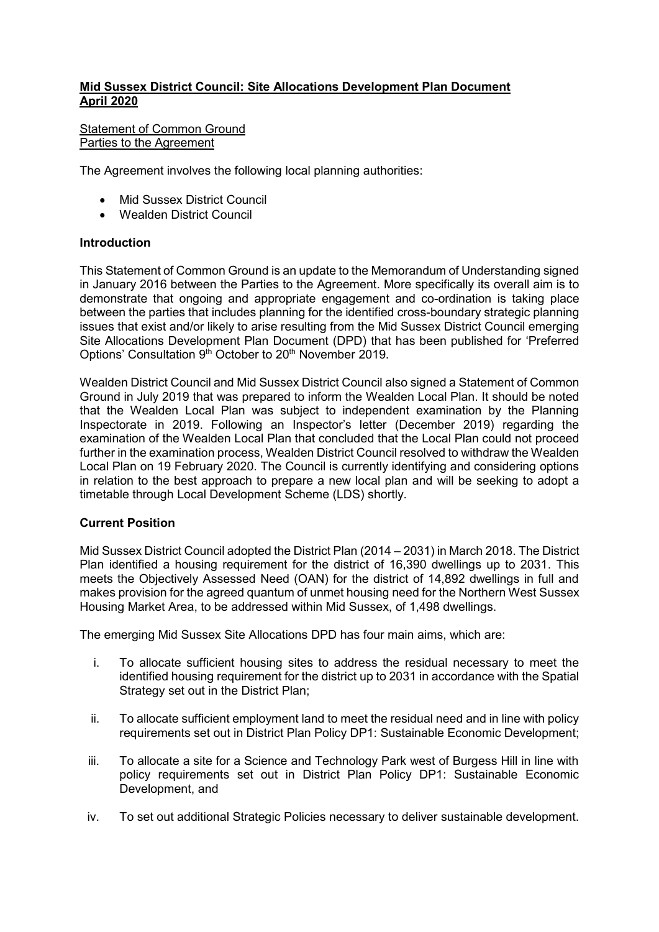# **Mid Sussex District Council: Site Allocations Development Plan Document April 2020**

## Statement of Common Ground Parties to the Agreement

The Agreement involves the following local planning authorities:

- Mid Sussex District Council
- Wealden District Council

#### **Introduction**

This Statement of Common Ground is an update to the Memorandum of Understanding signed in January 2016 between the Parties to the Agreement. More specifically its overall aim is to demonstrate that ongoing and appropriate engagement and co-ordination is taking place between the parties that includes planning for the identified cross-boundary strategic planning issues that exist and/or likely to arise resulting from the Mid Sussex District Council emerging Site Allocations Development Plan Document (DPD) that has been published for 'Preferred Options' Consultation 9<sup>th</sup> October to 20<sup>th</sup> November 2019.

Wealden District Council and Mid Sussex District Council also signed a Statement of Common Ground in July 2019 that was prepared to inform the Wealden Local Plan. It should be noted that the Wealden Local Plan was subject to independent examination by the Planning Inspectorate in 2019. Following an Inspector's letter (December 2019) regarding the examination of the Wealden Local Plan that concluded that the Local Plan could not proceed further in the examination process, Wealden District Council resolved to withdraw the Wealden Local Plan on 19 February 2020. The Council is currently identifying and considering options in relation to the best approach to prepare a new local plan and will be seeking to adopt a timetable through Local Development Scheme (LDS) shortly.

## **Current Position**

Mid Sussex District Council adopted the District Plan (2014 – 2031) in March 2018. The District Plan identified a housing requirement for the district of 16,390 dwellings up to 2031. This meets the Objectively Assessed Need (OAN) for the district of 14,892 dwellings in full and makes provision for the agreed quantum of unmet housing need for the Northern West Sussex Housing Market Area, to be addressed within Mid Sussex, of 1,498 dwellings.

The emerging Mid Sussex Site Allocations DPD has four main aims, which are:

- i. To allocate sufficient housing sites to address the residual necessary to meet the identified housing requirement for the district up to 2031 in accordance with the Spatial Strategy set out in the District Plan;
- ii. To allocate sufficient employment land to meet the residual need and in line with policy requirements set out in District Plan Policy DP1: Sustainable Economic Development;
- iii. To allocate a site for a Science and Technology Park west of Burgess Hill in line with policy requirements set out in District Plan Policy DP1: Sustainable Economic Development, and
- iv. To set out additional Strategic Policies necessary to deliver sustainable development.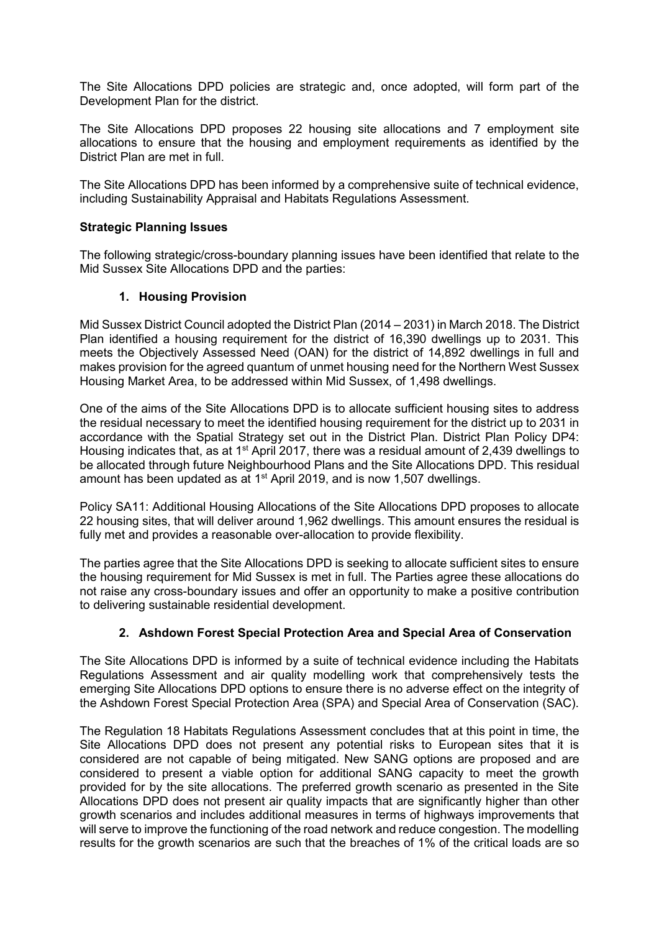The Site Allocations DPD policies are strategic and, once adopted, will form part of the Development Plan for the district.

The Site Allocations DPD proposes 22 housing site allocations and 7 employment site allocations to ensure that the housing and employment requirements as identified by the District Plan are met in full.

The Site Allocations DPD has been informed by a comprehensive suite of technical evidence, including Sustainability Appraisal and Habitats Regulations Assessment.

## **Strategic Planning Issues**

The following strategic/cross-boundary planning issues have been identified that relate to the Mid Sussex Site Allocations DPD and the parties:

## **1. Housing Provision**

Mid Sussex District Council adopted the District Plan (2014 – 2031) in March 2018. The District Plan identified a housing requirement for the district of 16,390 dwellings up to 2031. This meets the Objectively Assessed Need (OAN) for the district of 14,892 dwellings in full and makes provision for the agreed quantum of unmet housing need for the Northern West Sussex Housing Market Area, to be addressed within Mid Sussex, of 1,498 dwellings.

One of the aims of the Site Allocations DPD is to allocate sufficient housing sites to address the residual necessary to meet the identified housing requirement for the district up to 2031 in accordance with the Spatial Strategy set out in the District Plan. District Plan Policy DP4: Housing indicates that, as at 1<sup>st</sup> April 2017, there was a residual amount of 2,439 dwellings to be allocated through future Neighbourhood Plans and the Site Allocations DPD. This residual amount has been updated as at  $1<sup>st</sup>$  April 2019, and is now 1,507 dwellings.

Policy SA11: Additional Housing Allocations of the Site Allocations DPD proposes to allocate 22 housing sites, that will deliver around 1,962 dwellings. This amount ensures the residual is fully met and provides a reasonable over-allocation to provide flexibility.

The parties agree that the Site Allocations DPD is seeking to allocate sufficient sites to ensure the housing requirement for Mid Sussex is met in full. The Parties agree these allocations do not raise any cross-boundary issues and offer an opportunity to make a positive contribution to delivering sustainable residential development.

## **2. Ashdown Forest Special Protection Area and Special Area of Conservation**

The Site Allocations DPD is informed by a suite of technical evidence including the Habitats Regulations Assessment and air quality modelling work that comprehensively tests the emerging Site Allocations DPD options to ensure there is no adverse effect on the integrity of the Ashdown Forest Special Protection Area (SPA) and Special Area of Conservation (SAC).

The Regulation 18 Habitats Regulations Assessment concludes that at this point in time, the Site Allocations DPD does not present any potential risks to European sites that it is considered are not capable of being mitigated. New SANG options are proposed and are considered to present a viable option for additional SANG capacity to meet the growth provided for by the site allocations. The preferred growth scenario as presented in the Site Allocations DPD does not present air quality impacts that are significantly higher than other growth scenarios and includes additional measures in terms of highways improvements that will serve to improve the functioning of the road network and reduce congestion. The modelling results for the growth scenarios are such that the breaches of 1% of the critical loads are so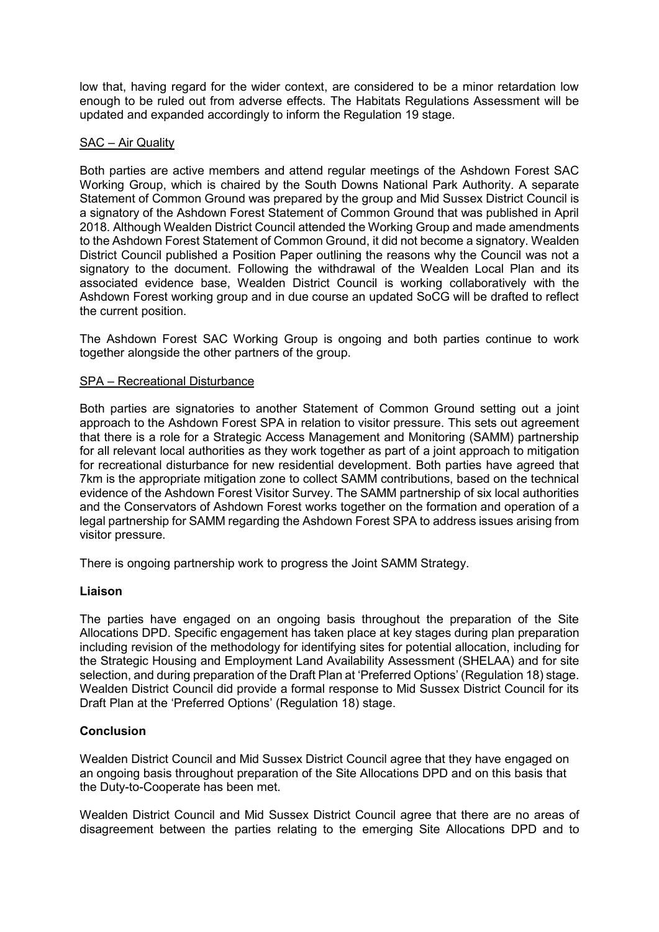low that, having regard for the wider context, are considered to be a minor retardation low enough to be ruled out from adverse effects. The Habitats Regulations Assessment will be updated and expanded accordingly to inform the Regulation 19 stage.

## SAC – Air Quality

Both parties are active members and attend regular meetings of the Ashdown Forest SAC Working Group, which is chaired by the South Downs National Park Authority. A separate Statement of Common Ground was prepared by the group and Mid Sussex District Council is a signatory of the Ashdown Forest Statement of Common Ground that was published in April 2018. Although Wealden District Council attended the Working Group and made amendments to the Ashdown Forest Statement of Common Ground, it did not become a signatory. Wealden District Council published a Position Paper outlining the reasons why the Council was not a signatory to the document. Following the withdrawal of the Wealden Local Plan and its associated evidence base, Wealden District Council is working collaboratively with the Ashdown Forest working group and in due course an updated SoCG will be drafted to reflect the current position.

The Ashdown Forest SAC Working Group is ongoing and both parties continue to work together alongside the other partners of the group.

#### SPA – Recreational Disturbance

Both parties are signatories to another Statement of Common Ground setting out a joint approach to the Ashdown Forest SPA in relation to visitor pressure. This sets out agreement that there is a role for a Strategic Access Management and Monitoring (SAMM) partnership for all relevant local authorities as they work together as part of a joint approach to mitigation for recreational disturbance for new residential development. Both parties have agreed that 7km is the appropriate mitigation zone to collect SAMM contributions, based on the technical evidence of the Ashdown Forest Visitor Survey. The SAMM partnership of six local authorities and the Conservators of Ashdown Forest works together on the formation and operation of a legal partnership for SAMM regarding the Ashdown Forest SPA to address issues arising from visitor pressure.

There is ongoing partnership work to progress the Joint SAMM Strategy.

#### **Liaison**

The parties have engaged on an ongoing basis throughout the preparation of the Site Allocations DPD. Specific engagement has taken place at key stages during plan preparation including revision of the methodology for identifying sites for potential allocation, including for the Strategic Housing and Employment Land Availability Assessment (SHELAA) and for site selection, and during preparation of the Draft Plan at 'Preferred Options' (Regulation 18) stage. Wealden District Council did provide a formal response to Mid Sussex District Council for its Draft Plan at the 'Preferred Options' (Regulation 18) stage.

## **Conclusion**

Wealden District Council and Mid Sussex District Council agree that they have engaged on an ongoing basis throughout preparation of the Site Allocations DPD and on this basis that the Duty-to-Cooperate has been met.

Wealden District Council and Mid Sussex District Council agree that there are no areas of disagreement between the parties relating to the emerging Site Allocations DPD and to